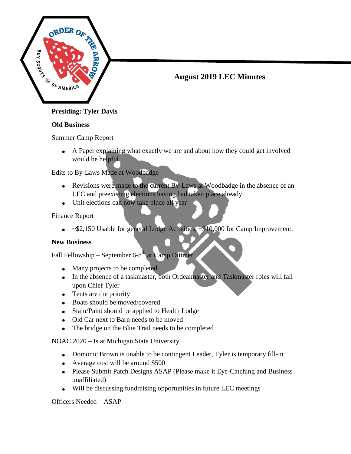

# **August 2019 LEC Minutes**

# **Old Business**

Summer Camp Report

 A Paper explaining what exactly we are and about how they could get involved would be helpful

Edits to By-Laws Made at Woodbadge

- Revisions were made to the current By-Laws at Woodbadge in the absence of an LEC and preexisting elections having had taken place already
- Unit elections can now take place all year

Finance Report

• ~\$2,150 Usable for general Lodge Activities, ~\$10,000 for Camp Improvement.

## **New Business**

Fall Fellowship – September 6-8<sup>th</sup> at Camp Dittmer

- Many projects to be completed
- In the absence of a taskmaster, both Ordealmaster and Taskmaster roles will fall upon Chief Tyler
- Tents are the priority
- Boats should be moved/covered
- Stain/Paint should be applied to Health Lodge
- Old Car next to Barn needs to be moved
- The bridge on the Blue Trail needs to be completed

NOAC 2020 – Is at Michigan State University

- Domonic Brown is unable to be contingent Leader, Tyler is temporary fill-in
- Average cost will be around \$500
- Please Submit Patch Designs ASAP (Please make it Eye-Catching and Business unaffiliated)
- Will be discussing fundraising opportunities in future LEC meetings

Officers Needed – ASAP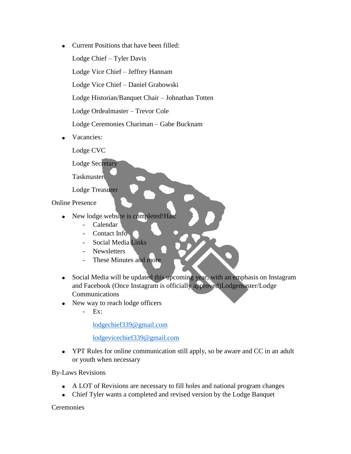• Current Positions that have been filled: Lodge Chief – Tyler Davis Lodge Vice Chief – Jeffrey Hannam Lodge Vice Chief – Daniel Grabowski Lodge Historian/Banquet Chair – Johnathan Totten Lodge Ordealmaster – Trevor Cole Lodge Ceremonies Chariman – Gabe Bucknam Vacancies:

Lodge CVC

Lodge Secretary

Taskmaster

Lodge Treasurer

Online Presence

- New lodge website is completed!Has:
	- Calendar
		- Contact Info
		- Social Media Links
		- Newsletters
		- These Minutes and more
- Social Media will be updated this upcoming year, with an emphasis on Instagram and Facebook (Once Instagram is officially approved)Lodgemaster/Lodge Communications
- New way to reach lodge officers
	- Ex:

[lodgechief339@gmail.com](mailto:lodgechief339@gmail.com)

[lodgevicechief339@gmail.com](mailto:lodgevicechief339@gmail.com)

• YPT Rules for online communication still apply, so be aware and CC in an adult or youth when necessary

By-Laws Revisions

- A LOT of Revisions are necessary to fill holes and national program changes
- Chief Tyler wants a completed and revised version by the Lodge Banquet

**Ceremonies**